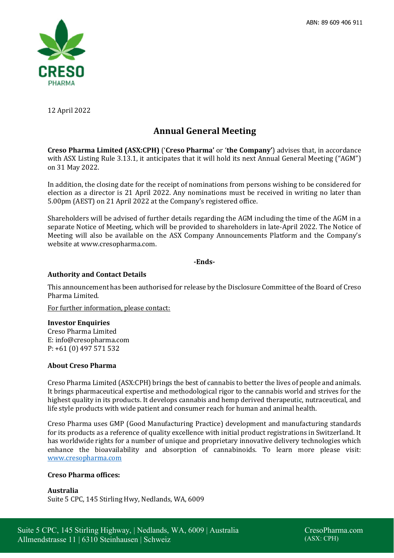

12 April 2022

# **Annual General Meeting**

**Creso Pharma Limited (ASX:CPH)** ('**Creso Pharma'** or '**the Company'**) advises that, in accordance with ASX Listing Rule 3.13.1, it anticipates that it will hold its next Annual General Meeting ("AGM") on 31 May 2022.

In addition, the closing date for the receipt of nominations from persons wishing to be considered for election as a director is 21 April 2022. Any nominations must be received in writing no later than 5.00pm (AEST) on 21 April 2022 at the Company's registered office.

Shareholders will be advised of further details regarding the AGM including the time of the AGM in a separate Notice of Meeting, which will be provided to shareholders in late-April 2022. The Notice of Meeting will also be available on the ASX Company Announcements Platform and the Company's website at www.cresopharma.com.

#### **-Ends-**

## **Authority and Contact Details**

This announcement has been authorised for release by the Disclosure Committee of the Board of Creso Pharma Limited.

For further information, please contact:

#### **Investor Enquiries**

Creso Pharma Limited E: info@cresopharma.com P: +61 (0) 497 571 532

#### **About Creso Pharma**

Creso Pharma Limited (ASX:CPH) brings the best of cannabis to better the lives of people and animals. It brings pharmaceutical expertise and methodological rigor to the cannabis world and strives for the highest quality in its products. It develops cannabis and hemp derived therapeutic, nutraceutical, and life style products with wide patient and consumer reach for human and animal health.

Creso Pharma uses GMP (Good Manufacturing Practice) development and manufacturing standards for its products as a reference of quality excellence with initial product registrations in Switzerland. It has worldwide rights for a number of unique and proprietary innovative delivery technologies which enhance the bioavailability and absorption of cannabinoids. To learn more please visit: www.cresopharma.com

#### **Creso Pharma offices:**

**Australia** Suite 5 CPC, 145 Stirling Hwy, Nedlands, WA, 6009